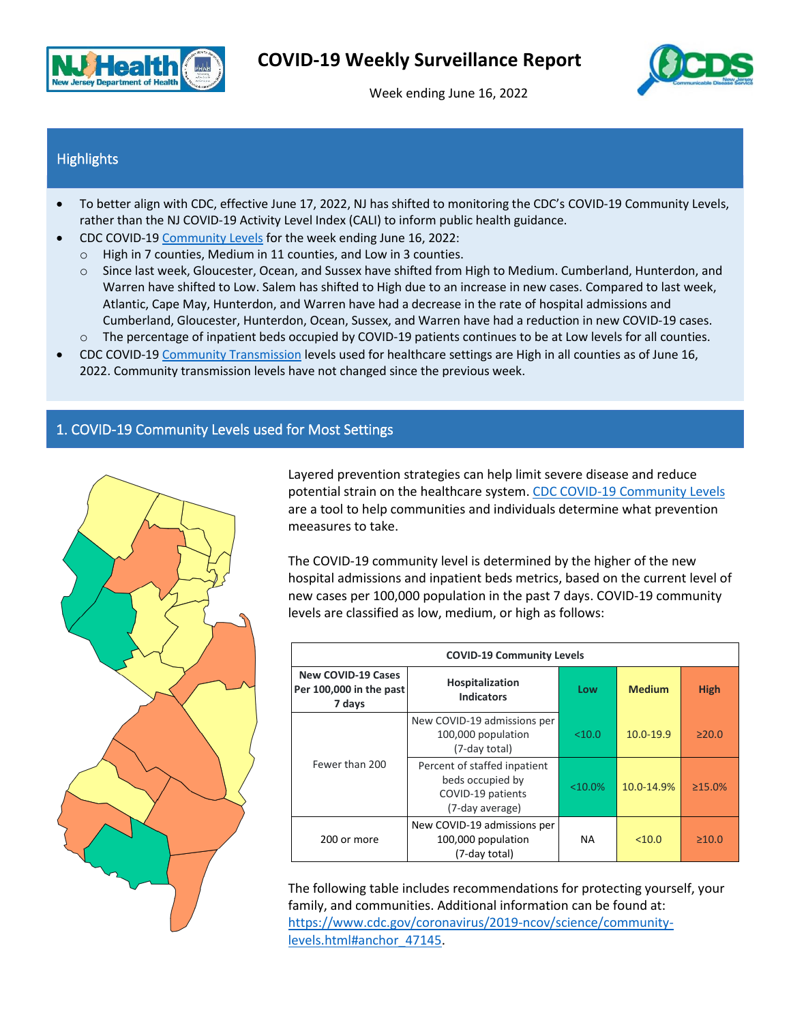

Week ending June 16, 2022



## **Highlights**

- To better align with CDC, effective June 17, 2022, NJ has shifted to monitoring the CDC's COVID-19 Community Levels, rather than the NJ COVID-19 Activity Level Index (CALI) to inform public health guidance.
- CDC COVID-1[9 Community Levels](#page-0-0) for the week ending June 16, 2022:
	- o High in 7 counties, Medium in 11 counties, and Low in 3 counties.
	- o Since last week, Gloucester, Ocean, and Sussex have shifted from High to Medium. Cumberland, Hunterdon, and Warren have shifted to Low. Salem has shifted to High due to an increase in new cases. Compared to last week, Atlantic, Cape May, Hunterdon, and Warren have had a decrease in the rate of hospital admissions and Cumberland, Gloucester, Hunterdon, Ocean, Sussex, and Warren have had a reduction in new COVID-19 cases.
	- o The percentage of inpatient beds occupied by COVID-19 patients continues to be at Low levels for all counties.
- CDC COVID-1[9 Community Transmission](#page-2-0) levels used for healthcare settings are High in all counties as of June 16, 2022. Community transmission levels have not changed since the previous week.

## <span id="page-0-0"></span>1. COVID-19 Community Levels used for Most Settings



Layered prevention strategies can help limit severe disease and reduce potential strain on the healthcare system. CDC COVID-19 [Community Levels](https://covid.cdc.gov/covid-data-tracker/#county-view?list_select_state=New+Jersey&data-type=CommunityLevels) are a tool to help communities and individuals determine what prevention meeasures to take.

The COVID-19 community level is determined by the higher of the new hospital admissions and inpatient beds metrics, based on the current level of new cases per 100,000 population in the past 7 days. COVID-19 community levels are classified as low, medium, or high as follows:

| <b>COVID-19 Community Levels</b>                               |                                                                                          |            |               |               |  |  |
|----------------------------------------------------------------|------------------------------------------------------------------------------------------|------------|---------------|---------------|--|--|
| <b>New COVID-19 Cases</b><br>Per 100,000 in the past<br>7 days | Hospitalization<br><b>Indicators</b>                                                     | Low        | <b>Medium</b> | <b>High</b>   |  |  |
|                                                                | New COVID-19 admissions per<br>100,000 population<br>(7-day total)                       | < 10.0     | $10.0 - 19.9$ | $\geq 20.0$   |  |  |
| Fewer than 200                                                 | Percent of staffed inpatient<br>beds occupied by<br>COVID-19 patients<br>(7-day average) | $< 10.0\%$ | 10.0-14.9%    | $\geq 15.0\%$ |  |  |
| 200 or more                                                    | New COVID-19 admissions per<br>100,000 population<br>(7-day total)                       | NA.        | $<$ 10.0      | $\geq 10.0$   |  |  |

The following table includes recommendations for protecting yourself, your family, and communities. Additional information can be found at: [https://www.cdc.gov/coronavirus/2019-ncov/science/community](https://www.cdc.gov/coronavirus/2019-ncov/science/community-levels.html#anchor_47145)[levels.html#anchor\\_47145.](https://www.cdc.gov/coronavirus/2019-ncov/science/community-levels.html#anchor_47145)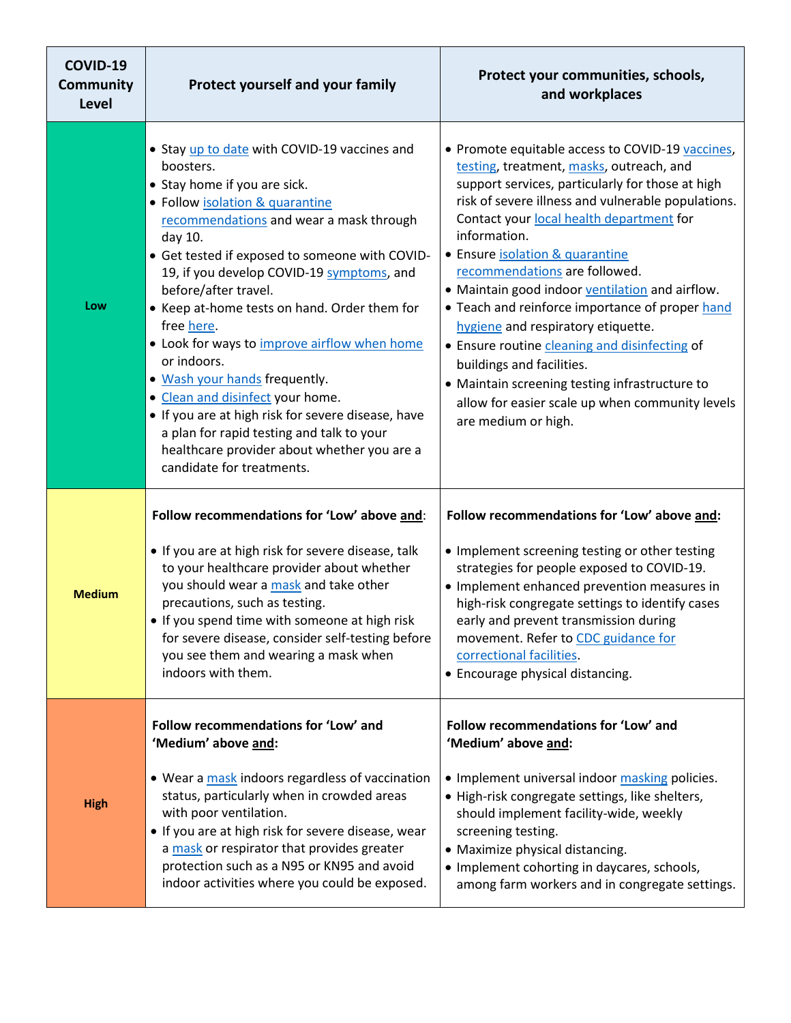| COVID-19<br>Community<br><b>Level</b> | Protect yourself and your family                                                                                                                                                                                                                                                                                                                                                                                                                                                                                                                                                                                                                                                           | Protect your communities, schools,<br>and workplaces                                                                                                                                                                                                                                                                                                                                                                                                                                                                                                                                                                                                                                         |  |  |  |
|---------------------------------------|--------------------------------------------------------------------------------------------------------------------------------------------------------------------------------------------------------------------------------------------------------------------------------------------------------------------------------------------------------------------------------------------------------------------------------------------------------------------------------------------------------------------------------------------------------------------------------------------------------------------------------------------------------------------------------------------|----------------------------------------------------------------------------------------------------------------------------------------------------------------------------------------------------------------------------------------------------------------------------------------------------------------------------------------------------------------------------------------------------------------------------------------------------------------------------------------------------------------------------------------------------------------------------------------------------------------------------------------------------------------------------------------------|--|--|--|
| Low                                   | • Stay up to date with COVID-19 vaccines and<br>boosters.<br>• Stay home if you are sick.<br>• Follow isolation & quarantine<br>recommendations and wear a mask through<br>day 10.<br>• Get tested if exposed to someone with COVID-<br>19, if you develop COVID-19 symptoms, and<br>before/after travel.<br>• Keep at-home tests on hand. Order them for<br>free here.<br>• Look for ways to improve airflow when home<br>or indoors.<br>. Wash your hands frequently.<br>• Clean and disinfect your home.<br>• If you are at high risk for severe disease, have<br>a plan for rapid testing and talk to your<br>healthcare provider about whether you are a<br>candidate for treatments. | • Promote equitable access to COVID-19 vaccines,<br>testing, treatment, masks, outreach, and<br>support services, particularly for those at high<br>risk of severe illness and vulnerable populations.<br>Contact your local health department for<br>information.<br>• Ensure isolation & quarantine<br>recommendations are followed.<br>• Maintain good indoor ventilation and airflow.<br>• Teach and reinforce importance of proper hand<br>hygiene and respiratory etiquette.<br>• Ensure routine cleaning and disinfecting of<br>buildings and facilities.<br>• Maintain screening testing infrastructure to<br>allow for easier scale up when community levels<br>are medium or high. |  |  |  |
| <b>Medium</b>                         | Follow recommendations for 'Low' above and:<br>• If you are at high risk for severe disease, talk<br>to your healthcare provider about whether<br>you should wear a mask and take other<br>precautions, such as testing.<br>• If you spend time with someone at high risk<br>for severe disease, consider self-testing before<br>you see them and wearing a mask when<br>indoors with them.                                                                                                                                                                                                                                                                                                | Follow recommendations for 'Low' above and:<br>• Implement screening testing or other testing<br>strategies for people exposed to COVID-19.<br>• Implement enhanced prevention measures in<br>high-risk congregate settings to identify cases<br>early and prevent transmission during<br>movement. Refer to CDC guidance for<br>correctional facilities.<br>• Encourage physical distancing.                                                                                                                                                                                                                                                                                                |  |  |  |
| <b>High</b>                           | Follow recommendations for 'Low' and<br>'Medium' above and:<br>• Wear a mask indoors regardless of vaccination<br>status, particularly when in crowded areas<br>with poor ventilation.<br>• If you are at high risk for severe disease, wear<br>a mask or respirator that provides greater<br>protection such as a N95 or KN95 and avoid<br>indoor activities where you could be exposed.                                                                                                                                                                                                                                                                                                  | Follow recommendations for 'Low' and<br>'Medium' above and:<br>• Implement universal indoor masking policies.<br>• High-risk congregate settings, like shelters,<br>should implement facility-wide, weekly<br>screening testing.<br>• Maximize physical distancing.<br>• Implement cohorting in daycares, schools,<br>among farm workers and in congregate settings.                                                                                                                                                                                                                                                                                                                         |  |  |  |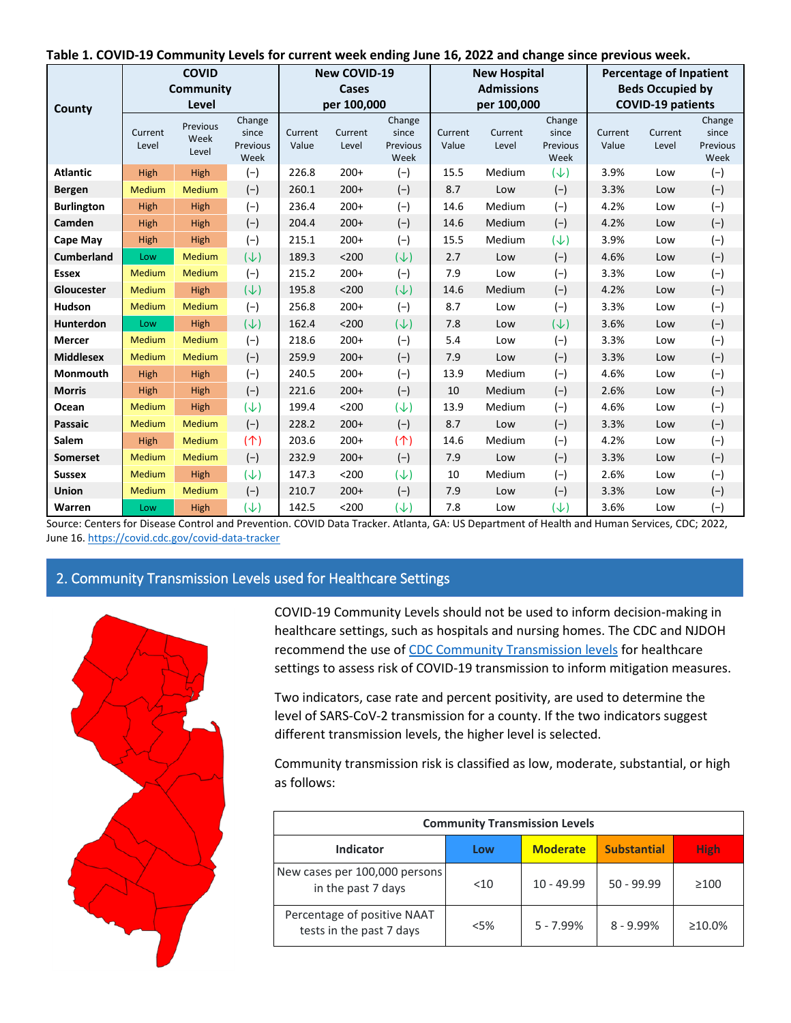|  |  | Table 1. COVID-19 Community Levels for current week ending June 16, 2022 and change since previous week. |
|--|--|----------------------------------------------------------------------------------------------------------|
|--|--|----------------------------------------------------------------------------------------------------------|

|                   |                  | <b>COVID</b>              |                                     |                  | <b>New COVID-19</b> |                                     |                  | <b>New Hospital</b>     |                                     |                          | <b>Percentage of Inpatient</b> |                                     |
|-------------------|------------------|---------------------------|-------------------------------------|------------------|---------------------|-------------------------------------|------------------|-------------------------|-------------------------------------|--------------------------|--------------------------------|-------------------------------------|
| Community         |                  |                           | Cases                               |                  | <b>Admissions</b>   |                                     |                  | <b>Beds Occupied by</b> |                                     |                          |                                |                                     |
| County            |                  | Level                     |                                     | per 100,000      |                     |                                     | per 100,000      |                         |                                     | <b>COVID-19 patients</b> |                                |                                     |
|                   | Current<br>Level | Previous<br>Week<br>Level | Change<br>since<br>Previous<br>Week | Current<br>Value | Current<br>Level    | Change<br>since<br>Previous<br>Week | Current<br>Value | Current<br>Level        | Change<br>since<br>Previous<br>Week | Current<br>Value         | Current<br>Level               | Change<br>since<br>Previous<br>Week |
| <b>Atlantic</b>   | High             | High                      | $(-)$                               | 226.8            | $200+$              | $(-)$                               | 15.5             | Medium                  | $(\downarrow)$                      | 3.9%                     | Low                            | $(-)$                               |
| <b>Bergen</b>     | Medium           | Medium                    | $(-)$                               | 260.1            | $200+$              | $(-)$                               | 8.7              | Low                     | $(-)$                               | 3.3%                     | Low                            | $(-)$                               |
| <b>Burlington</b> | High             | High                      | $(-)$                               | 236.4            | $200+$              | $(-)$                               | 14.6             | Medium                  | $(-)$                               | 4.2%                     | Low                            | $(-)$                               |
| Camden            | High             | High                      | $(-)$                               | 204.4            | $200+$              | $(-)$                               | 14.6             | Medium                  | $(-)$                               | 4.2%                     | Low                            | $(-)$                               |
| Cape May          | High             | High                      | $(-)$                               | 215.1            | $200+$              | $(-)$                               | 15.5             | Medium                  | $(\downarrow)$                      | 3.9%                     | Low                            | $(-)$                               |
| <b>Cumberland</b> | Low              | Medium                    | $(\downarrow)$                      | 189.3            | $200$               | $(\downarrow)$                      | 2.7              | Low                     | $(-)$                               | 4.6%                     | Low                            | $(-)$                               |
| <b>Essex</b>      | Medium           | Medium                    | $(-)$                               | 215.2            | $200+$              | $(-)$                               | 7.9              | Low                     | $(-)$                               | 3.3%                     | Low                            | $(-)$                               |
| Gloucester        | Medium           | High                      | $(\downarrow)$                      | 195.8            | $200$               | $(\downarrow)$                      | 14.6             | Medium                  | $(-)$                               | 4.2%                     | Low                            | $(-)$                               |
| <b>Hudson</b>     | Medium           | Medium                    | $(-)$                               | 256.8            | $200+$              | $(-)$                               | 8.7              | Low                     | $(-)$                               | 3.3%                     | Low                            | $(-)$                               |
| Hunterdon         | Low              | High                      | $(\downarrow)$                      | 162.4            | $200$               | $(\downarrow)$                      | 7.8              | Low                     | $(\downarrow)$                      | 3.6%                     | Low                            | $(-)$                               |
| Mercer            | Medium           | Medium                    | $(-)$                               | 218.6            | $200+$              | $(-)$                               | 5.4              | Low                     | $(-)$                               | 3.3%                     | Low                            | $(-)$                               |
| <b>Middlesex</b>  | Medium           | Medium                    | $(-)$                               | 259.9            | $200+$              | $(-)$                               | 7.9              | Low                     | $(-)$                               | 3.3%                     | Low                            | $(-)$                               |
| Monmouth          | High             | High                      | $(-)$                               | 240.5            | $200+$              | $(-)$                               | 13.9             | Medium                  | $(-)$                               | 4.6%                     | Low                            | $(-)$                               |
| <b>Morris</b>     | High             | High                      | $(-)$                               | 221.6            | $200+$              | $(-)$                               | 10               | Medium                  | $(-)$                               | 2.6%                     | Low                            | $(-)$                               |
| Ocean             | Medium           | High                      | $(\downarrow)$                      | 199.4            | $200$               | $(\downarrow)$                      | 13.9             | Medium                  | $(-)$                               | 4.6%                     | Low                            | $(-)$                               |
| <b>Passaic</b>    | Medium           | Medium                    | $(-)$                               | 228.2            | $200+$              | $(-)$                               | 8.7              | Low                     | $(-)$                               | 3.3%                     | Low                            | $(-)$                               |
| <b>Salem</b>      | High             | Medium                    | (                                   | 203.6            | $200+$              | (                                   | 14.6             | Medium                  | $(-)$                               | 4.2%                     | Low                            | $(-)$                               |
| <b>Somerset</b>   | Medium           | Medium                    | $(-)$                               | 232.9            | $200+$              | $(-)$                               | 7.9              | Low                     | $(-)$                               | 3.3%                     | Low                            | $(-)$                               |
| <b>Sussex</b>     | Medium           | High                      | $(\downarrow)$                      | 147.3            | $200$               | $(\downarrow)$                      | 10               | Medium                  | $(-)$                               | 2.6%                     | Low                            | $(-)$                               |
| Union             | Medium           | Medium                    | $(-)$                               | 210.7            | $200+$              | $(-)$                               | 7.9              | Low                     | $(-)$                               | 3.3%                     | Low                            | $(-)$                               |
| Warren            | Low              | High                      | $(\downarrow)$                      | 142.5            | $200$               | $(\downarrow)$                      | 7.8              | Low                     | $(\downarrow)$                      | 3.6%                     | Low                            | $(-)$                               |

Source: Centers for Disease Control and Prevention. COVID Data Tracker. Atlanta, GA: US Department of Health and Human Services, CDC; 2022, June 16[. https://covid.cdc.gov/covid-data-tracker](https://covid.cdc.gov/covid-data-tracker)

## <span id="page-2-0"></span>2. Community Transmission Levels used for Healthcare Settings



COVID-19 Community Levels should not be used to inform decision-making in healthcare settings, such as hospitals and nursing homes. The CDC and NJDOH recommend the use o[f CDC Community Transmission levels](https://covid.cdc.gov/covid-data-tracker/#county-view?list_select_state=all_states&list_select_county=all_counties&data-type=Risk&null=Risk) for healthcare settings to assess risk of COVID-19 transmission to inform mitigation measures.

Two indicators, case rate and percent positivity, are used to determine the level of SARS-CoV-2 transmission for a county. If the two indicators suggest different transmission levels, the higher level is selected.

Community transmission risk is classified as low, moderate, substantial, or high as follows:

| <b>Community Transmission Levels</b>                    |        |                 |                    |               |  |
|---------------------------------------------------------|--------|-----------------|--------------------|---------------|--|
| Indicator                                               | Low    | <b>Moderate</b> | <b>Substantial</b> | <b>High</b>   |  |
| New cases per 100,000 persons<br>in the past 7 days     | $<$ 10 | $10 - 49.99$    | $50 - 99.99$       | $\geq 100$    |  |
| Percentage of positive NAAT<br>tests in the past 7 days | $<$ 5% | $5 - 7.99%$     | $8 - 9.99%$        | $\geq 10.0\%$ |  |